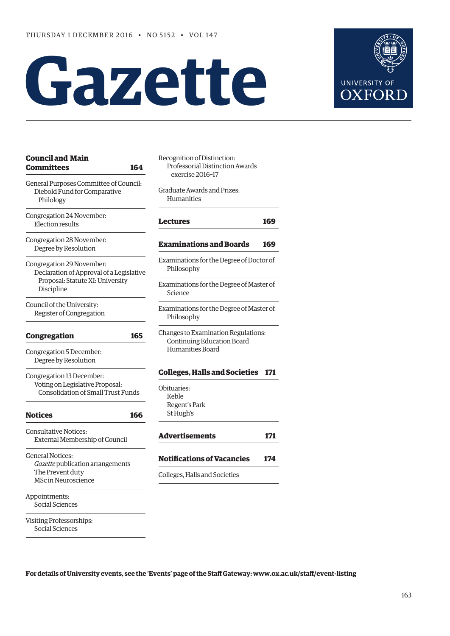# **Gazette**



| <b>Council and Main</b><br>Committees<br>164                                                                            | Recognition of Distinction:<br>Professorial Distinction Awards<br>exercise 2016-17 |
|-------------------------------------------------------------------------------------------------------------------------|------------------------------------------------------------------------------------|
| General Purposes Committee of Council:<br>Diebold Fund for Comparative<br>Philology                                     | Graduate Awards and Prizes:<br>Humanities                                          |
| Congregation 24 November:<br><b>Election results</b>                                                                    | <b>Lectures</b>                                                                    |
| Congregation 28 November:<br>Degree by Resolution                                                                       | <b>Examinations and Boards</b>                                                     |
| Congregation 29 November:<br>Declaration of Approval of a Legislative<br>Proposal: Statute XI: University<br>Discipline | Examinations for the Degree of Doo<br>Philosophy                                   |
|                                                                                                                         | Examinations for the Degree of Ma<br>Science                                       |
| Council of the University:<br>Register of Congregation                                                                  | Examinations for the Degree of Ma<br>Philosophy                                    |
| 165<br><b>Congregation</b>                                                                                              | Changes to Examination Regulatio<br>Continuing Education Board<br>Humanities Board |
| Congregation 5 December:<br>Degree by Resolution                                                                        |                                                                                    |
| Congregation 13 December:                                                                                               | <b>Colleges, Halls and Societies</b>                                               |
| Voting on Legislative Proposal:<br><b>Consolidation of Small Trust Funds</b>                                            | Obituaries:<br>Keble                                                               |
| <b>Notices</b><br>166                                                                                                   | Regent's Park<br>St Hugh's                                                         |
| <b>Consultative Notices:</b><br>External Membership of Council                                                          | <b>Advertisements</b>                                                              |
| <b>General Notices:</b>                                                                                                 | <b>Notifications of Vacancies</b>                                                  |
| Gazette publication arrangements<br>The Prevent duty<br><b>MSc in Neuroscience</b>                                      | Colleges, Halls and Societies                                                      |
| Appointments:<br>Social Sciences                                                                                        |                                                                                    |
| Visiting Professorships:<br>Social Sciences                                                                             |                                                                                    |

nd Prizes: **[Lectures](#page-6-0) 169 [Examinations and Boards](#page-6-0) 169** he Degree of Doctor of he Degree of Master of he Degree of Master of ation Regulations: cation Board  $\mathop{\mathrm{ord}}\nolimits$ **[Colleges, Halls and Societies](#page-8-0) 171 [Advertisements](#page-8-0) 171 Vacancies 174** 

**For details of University events, see the 'Events' page of the Staff Gateway: [www.ox.ac.uk/staff/event-listing](http://www.ox.ac.uk/staff/event-listing)**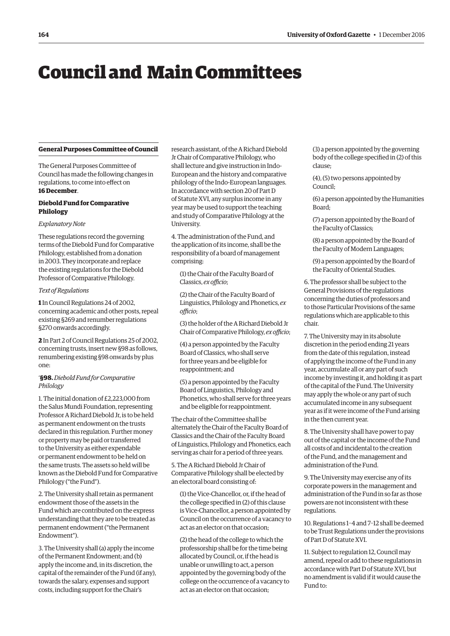## <span id="page-1-0"></span>Council and Main Committees

#### **General Purposes Committee of Council**

The General Purposes Committee of Council has made the following changes in regulations, to come into effect on **16 December**.

#### **Diebold Fund for Comparative Philology**

#### *Explanatory Note*

These regulations record the governing terms of the Diebold Fund for Comparative Philology, established from a donation in 2003. They incorporate and replace the existing regulations for the Diebold Professor of Comparative Philology.

#### *Text of Regulations*

**1** In Council Regulations 24 of 2002, concerning academic and other posts, repeal existing §269 and renumber regulations §270 onwards accordingly.

**2** In Part 2 of Council Regulations 25 of 2002, concerning trusts, insert new §98 as follows, renumbering existing §98 onwards by plus one:

#### '**§98.***Diebold Fund for Comparative Philology*

1. The initial donation of £2,223,000 from the Salus Mundi Foundation, representing Professor A Richard Diebold Jr, is to be held as permanent endowment on the trusts declared in this regulation. Further money or property may be paid or transferred to the University as either expendable or permanent endowment to be held on the same trusts. The assets so held will be known as the Diebold Fund for Comparative Philology ("the Fund").

2. The University shall retain as permanent endowment those of the assets in the Fund which are contributed on the express understanding that they are to be treated as permanent endowment ("the Permanent Endowment").

3. The University shall (a) apply the income of the Permanent Endowment; and (b) apply the income and, in its discretion, the capital of the remainder of the Fund (if any), towards the salary, expenses and support costs, including support for the Chair's

research assistant, of the A Richard Diebold Jr Chair of Comparative Philology, who shall lecture and give instruction in Indo-European and the history and comparative philology of the Indo-European languages. In accordance with section 20 of Part D of Statute XVI, any surplus income in any year may be used to support the teaching and study of Comparative Philology at the University.

4. The administration of the Fund, and the application of its income, shall be the responsibility of a board of management comprising:

(1) the Chair of the Faculty Board of Classics, *ex officio*;

(2) the Chair of the Faculty Board of Linguistics, Philology and Phonetics, *ex officio*;

(3) the holder of the A Richard Diebold Jr Chair of Comparative Philology, *ex officio*;

(4) a person appointed by the Faculty Board of Classics, who shall serve for three years and be eligible for reappointment; and

(5) a person appointed by the Faculty Board of Linguistics, Philology and Phonetics, who shall serve for three years and be eligible for reappointment.

The chair of the Committee shall be alternately the Chair of the Faculty Board of Classics and the Chair of the Faculty Board of Linguistics, Philology and Phonetics, each serving as chair for a period of three years.

5. The A Richard Diebold Jr Chair of Comparative Philology shall be elected by an electoral board consisting of:

(1) the Vice-Chancellor, or, if the head of the college specified in (2) of this clause is Vice-Chancellor, a person appointed by Council on the occurrence of a vacancy to act as an elector on that occasion;

(2) the head of the college to which the professorship shall be for the time being allocated by Council, or, if the head is unable or unwilling to act, a person appointed by the governing body of the college on the occurrence of a vacancy to act as an elector on that occasion;

(3) a person appointed by the governing body of the college specified in (2) of this clause;

(4), (5) two persons appointed by Council;

(6) a person appointed by the Humanities Board;

(7) a person appointed by the Board of the Faculty of Classics;

(8) a person appointed by the Board of the Faculty of Modern Languages;

(9) a person appointed by the Board of the Faculty of Oriental Studies.

6. The professor shall be subject to the General Provisions of the regulations concerning the duties of professors and to those Particular Provisions of the same regulations which are applicable to this chair.

7. The University may in its absolute discretion in the period ending 21 years from the date of this regulation, instead of applying the income of the Fund in any year, accumulate all or any part of such income by investing it, and holding it as part of the capital of the Fund. The University may apply the whole or any part of such accumulated income in any subsequent year as if it were income of the Fund arising in the then current year.

8. The University shall have power to pay out of the capital or the income of the Fund all costs of and incidental to the creation of the Fund, and the management and administration of the Fund.

9. The University may exercise any of its corporate powers in the management and administration of the Fund in so far as those powers are not inconsistent with these regulations.

10. Regulations 1–4 and 7–12 shall be deemed to be Trust Regulations under the provisions of Part D of Statute XVI.

11. Subject to regulation 12, Council may amend, repeal or add to these regulations in accordance with Part D of Statute XVI, but no amendment is valid if it would cause the Fund to: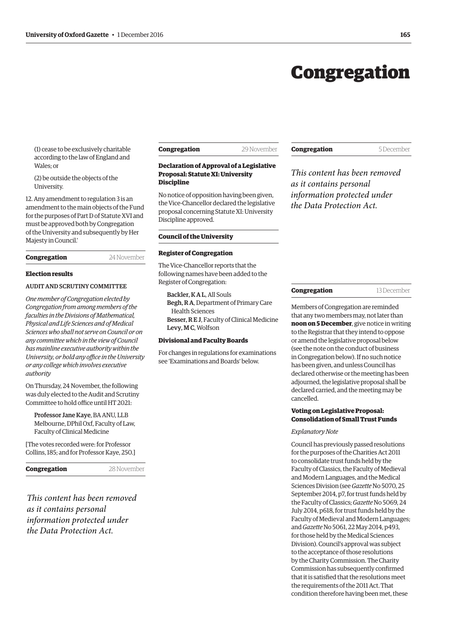## Congregation

<span id="page-2-0"></span>(1) cease to be exclusively charitable according to the law of England and Wales; or

(2) be outside the objects of the University.

12. Any amendment to regulation 3 is an amendment to the main objects of the Fund for the purposes of Part D of Statute XVI and must be approved both by Congregation of the University and subsequently by Her Majesty in Council.'

| Congregation | 24 November |
|--------------|-------------|
|              |             |

#### **Election results**

#### AUDIT AND SCRUTINY COMMITTEE

*One member of Congregation elected by Congregation from among members of the faculties in the Divisions of Mathematical, Physical and Life Sciences and of Medical Sciences who shall not serve on Council or on any committee which in the view of Council has mainline executive authority within the University, or hold any office in the University or any college which involves executive authority*

On Thursday, 24 November, the following was duly elected to the Audit and Scrutiny Committee to hold office until HT 2021:

Professor Jane Kaye, BA ANU, LLB Melbourne, DPhil Oxf, Faculty of Law, Faculty of Clinical Medicine

[The votes recorded were: for Professor Collins, 185; and for Professor Kaye, 250.]

**Congregation** 28 November

*This content has been removed as it contains personal information protected under the Data Protection Act.*

**Discipline**

**Declaration of Approval of a Legislative Proposal: Statute XI: University** 

No notice of opposition having been given, the Vice-Chancellor declared the legislative proposal concerning Statute XI: University Discipline approved.

#### **Council of the University**

#### **Register of Congregation**

The Vice-Chancellor reports that the following names have been added to the Register of Congregation:

Backler, K A L, All Souls Begh, R A, Department of Primary Care Health Sciences Besser, R E J, Faculty of Clinical Medicine Levy, M C, Wolfson

#### **Divisional and Faculty Boards**

For changes in regulations for examinations see '[Examinations and Boards'](#page-8-0) below.

#### **Congregation** 5 December

*This content has been removed as it contains personal information protected under the Data Protection Act.*

#### **Congregation** 13 December

Members of Congregation are reminded that any two members may, not later than **noon on 5 December**, give notice in writing to the Registrar that they intend to oppose or amend the legislative proposal below (see the note on the conduct of business in Congregation below). If no such notice has been given, and unless Council has declared otherwise or the meeting has been adjourned, the legislative proposal shall be declared carried, and the meeting may be cancelled.

#### **Voting on Legislative Proposal: Consolidation of Small Trust Funds**

#### *Explanatory Note*

Council has previously passed resolutions for the purposes of the Charities Act 2011 to consolidate trust funds held by the Faculty of Classics, the Faculty of Medieval and Modern Languages, and the Medical Sciences Division (see *Gazette* [No 5070, 25](http://www.ox.ac.uk/gazette/2014-2015/25september2014-no5070/congregation/#163290) September 2014, p7, for trust funds held by the Faculty of Classics; *Gazette* [No 5069, 24](http://www.ox.ac.uk/gazette/2013-2014/24july2014-no5069/councilandmaincommittees/#159226)  July 2014, p618, for trust funds held by the Faculty of Medieval and Modern Languages; and *Gazette* [No 5061, 22 May 2014, p493,](http://www.ox.ac.uk/gazette/2013-2014/22may2014-no5061/councilandmaincommittees/#154129)  for those held by the Medical Sciences Division). Council's approval was subject to the acceptance of those resolutions by the Charity Commission. The Charity Commission has subsequently confirmed that it is satisfied that the resolutions meet the requirements of the 2011 Act. That condition therefore having been met, these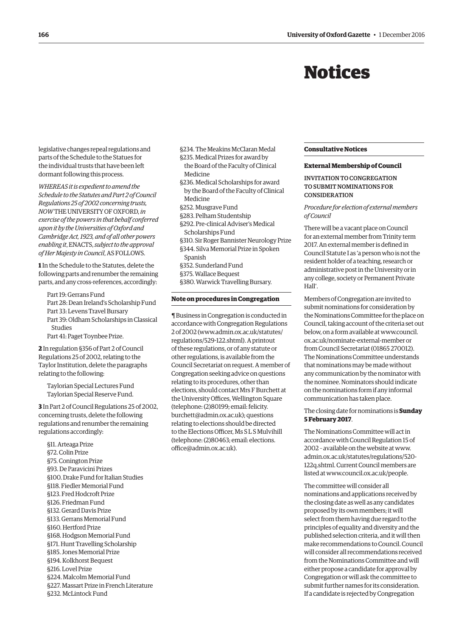## Notices

<span id="page-3-0"></span>legislative changes repeal regulations and parts of the Schedule to the Statues for the individual trusts that have been left dormant following this process.

*WHEREAS it is expedient to amend the Schedule to the Statutes and Part 2 of Council Regulations 25 of 2002 concerning trusts, NOW* THE UNIVERSITY OF OXFORD, *in exercise of the powers in that behalf conferred upon it by the Universities of Oxford and Cambridge Act, 1923, and of all other powers enabling it*, ENACTS, *subject to the approval of Her Majesty in Council*, AS FOLLOWS.

**1** In the Schedule to the Statutes, delete the following parts and renumber the remaining parts, and any cross-references, accordingly:

Part 19: Gerrans Fund Part 28: Dean Ireland's Scholarship Fund Part 33: Levens Travel Bursary Part 39: Oldham Scholarships in Classical Studies

Part 41: Paget Toynbee Prize.

**2** In regulation §356 of Part 2 of Council Regulations 25 of 2002, relating to the Taylor Institution, delete the paragraphs relating to the following:

Taylorian Special Lectures Fund Taylorian Special Reserve Fund.

**3** In Part 2 of Council Regulations 25 of 2002, concerning trusts, delete the following regulations and renumber the remaining regulations accordingly:

§11. Arteaga Prize §72. Colin Prize §75. Conington Prize §93. De Paravicini Prizes §100. Drake Fund for Italian Studies §118. Fiedler Memorial Fund §123. Fred Hodcroft Prize §126. Friedman Fund §132. Gerard Davis Prize §133. Gerrans Memorial Fund §160. Hertford Prize §168. Hodgson Memorial Fund §171. Hunt Travelling Scholarship §185. Jones Memorial Prize §194. Kolkhorst Bequest §216. Lovel Prize §224. Malcolm Memorial Fund §227. Massart Prize in French Literature §232. McLintock Fund

§234. The Meakins McClaran Medal

- §235. Medical Prizes for award by the Board of the Faculty of Clinical Medicine
- §236. Medical Scholarships for award by the Board of the Faculty of Clinical
- Medicine
- §252. Musgrave Fund
- §283. Pelham Studentship
- §292. Pre-clinical Adviser's Medical Scholarships Fund
- §310. Sir Roger Bannister Neurology Prize
- §344. Silva Memorial Prize in Spoken Spanish
- §352. Sunderland Fund
- §375. Wallace Bequest
- §380. Warwick Travelling Bursary.

#### **Note on procedures in Congregation**

¶ Business in Congregation is conducted in accordance with Congregation Regulations 2 of 2002 [\(www.admin.ox.ac.uk/statutes/](http://www.admin.ox.ac.uk/statutes/regulations/529-122.shtml) [regulations/529-122.shtml\). A p](http://www.admin.ox.ac.uk/statutes/regulations/529-122.shtml)rintout of these regulations, or of any statute or other regulations, is available from the Council Secretariat on request. A member of Congregation seeking advice on questions relating to its procedures, other than elections, should contact Mrs F Burchett at the University Offices, Wellington Square (telephone: (2)80199; email: felicity. [burchett@admin.ox.ac.uk\); questions](mailto:felicity.burchett@admin.ox.ac.uk)  relating to elections should be directed to the Elections Officer, Ms S L S Mulvihill [\(telephone: \(2\)80463; email: elections.](mailto:elections.office@admin.ox.ac.uk) office@admin.ox.ac.uk).

#### **Consultative Notices**

#### **External Membership of Council**

#### INVITATION TO CONGREGATION TO SUBMIT NOMINATIONS FOR **CONSIDERATION**

#### *Procedure for election of external members of Council*

There will be a vacant place on Council for an external member from Trinity term 2017. An external member is defined in Council Statute I as 'a person who is not the resident holder of a teaching, research or administrative post in the University or in any college, society or Permanent Private Hall'.

Members of Congregation are invited to submit nominations for consideration by the Nominations Committee for the place on Council, taking account of the criteria set out [below, on a form available at www.council.](www.council.ox.ac.uk/nominate-external-member) ox.ac.uk/nominate-external-member or from Council Secretariat (01865 270012). The Nominations Committee understands that nominations may be made without any communication by the nominator with the nominee. Nominators should indicate on the nominations form if any informal communication has taken place.

#### The closing date for nominations is **Sunday 5 February 2017**.

The Nominations Committee will act in accordance with Council Regulation 15 of 2002 – available on the website at [www.](http://www.admin.ox.ac.uk/statutes/regulations/520-122q.shtml) [admin.ox.ac.uk/statutes/regulations/520-](http://www.admin.ox.ac.uk/statutes/regulations/520-122q.shtml) [122q.shtml. Cu](http://www.admin.ox.ac.uk/statutes/regulations/520-122q.shtml)rrent Council members are listed at [www.council.ox.ac.uk/people.](http://www.council.ox.ac.uk/people)

The committee will consider all nominations and applications received by the closing date as well as any candidates proposed by its own members; it will select from them having due regard to the principles of equality and diversity and the published selection criteria, and it will then make recommendations to Council. Council will consider all recommendations received from the Nominations Committee and will either propose a candidate for approval by Congregation or will ask the committee to submit further names for its consideration. If a candidate is rejected by Congregation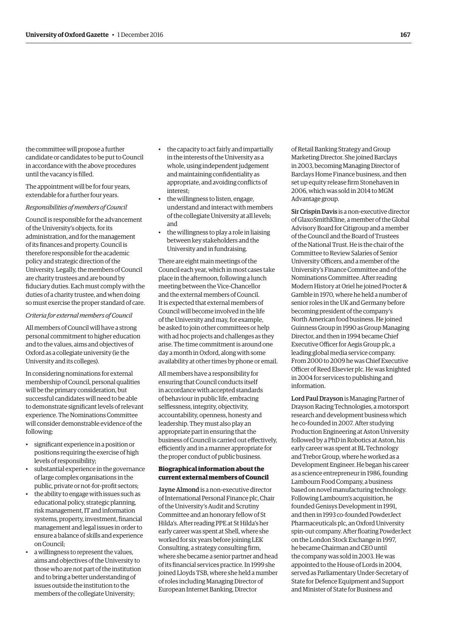the committee will propose a further candidate or candidates to be put to Council in accordance with the above procedures until the vacancy is filled.

The appointment will be for four years, extendable for a further four years.

#### *Responsibilities of members of Council*

Council is responsible for the advancement of the University's objects, for its administration, and for the management of its finances and property. Council is therefore responsible for the academic policy and strategic direction of the University. Legally, the members of Council are charity trustees and are bound by fiduciary duties. Each must comply with the duties of a charity trustee, and when doing so must exercise the proper standard of care.

#### *Criteria for external members of Council*

All members of Council will have a strong personal commitment to higher education and to the values, aims and objectives of Oxford as a collegiate university (ie the University and its colleges).

In considering nominations for external membership of Council, personal qualities will be the primary consideration, but successful candidates will need to be able to demonstrate significant levels of relevant experience. The Nominations Committee will consider demonstrable evidence of the following:

- significant experience in a position or positions requiring the exercise of high levels of responsibility;
- substantial experience in the governance of large complex organisations in the public, private or not-for-profit sectors;
- the ability to engage with issues such as educational policy, strategic planning, risk management, IT and information systems, property, investment, financial management and legal issues in order to ensure a balance of skills and experience on Council;
- a willingness to represent the values, aims and objectives of the University to those who are not part of the institution and to bring a better understanding of issues outside the institution to the members of the collegiate University;
- the capacity to act fairly and impartially in the interests of the University as a whole, using independent judgement and maintaining confidentiality as appropriate, and avoiding conflicts of interest;
- the willingness to listen, engage, understand and interact with members of the collegiate University at all levels; and
- the willingness to play a role in liaising between key stakeholders and the University and in fundraising.

There are eight main meetings of the Council each year, which in most cases take place in the afternoon, following a lunch meeting between the Vice-Chancellor and the external members of Council. It is expected that external members of Council will become involved in the life of the University and may, for example, be asked to join other committees or help with ad hoc projects and challenges as they arise. The time commitment is around one day a month in Oxford, along with some availability at other times by phone or email.

All members have a responsibility for ensuring that Council conducts itself in accordance with accepted standards of behaviour in public life, embracing selflessness, integrity, objectivity, accountability, openness, honesty and leadership. They must also play an appropriate part in ensuring that the business of Council is carried out effectively, efficiently and in a manner appropriate for the proper conduct of public business.

#### **Biographical information about the current external members of Council**

Jayne Almond is a non-executive director of International Personal Finance plc, Chair of the University's Audit and Scrutiny Committee and an honorary fellow of St Hilda's. After reading PPE at St Hilda's her early career was spent at Shell, where she worked for six years before joining LEK Consulting, a strategy consulting firm, where she became a senior partner and head of its financial services practice. In 1999 she joined Lloyds TSB, where she held a number of roles including Managing Director of European Internet Banking, Director

of Retail Banking Strategy and Group Marketing Director. She joined Barclays in 2003, becoming Managing Director of Barclays Home Finance business, and then set up equity release firm Stonehaven in 2006, which was sold in 2014 to MGM Advantage group.

Sir Crispin Davis is a non-executive director of GlaxoSmithKline, a member of the Global Advisory Board for Citigroup and a member of the Council and the Board of Trustees of the National Trust. He is the chair of the Committee to Review Salaries of Senior University Officers, and a member of the University's Finance Committee and of the Nominations Committee. After reading Modern History at Oriel he joined Procter & Gamble in 1970, where he held a number of senior roles in the UK and Germany before becoming president of the company's North American food business. He joined Guinness Group in 1990 as Group Managing Director, and then in 1994 became Chief Executive Officer for Aegis Group plc, a leading global media service company. From 2000 to 2009 he was Chief Executive Officer of Reed Elsevier plc. He was knighted in 2004 for services to publishing and information.

Lord Paul Drayson is Managing Partner of Drayson Racing Technologies, a motorsport research and development business which he co-founded in 2007. After studying Production Engineering at Aston University followed by a PhD in Robotics at Aston, his early career was spent at BL Technology and Trebor Group, where he worked as a Development Engineer. He began his career as a science entrepreneur in 1986, founding Lambourn Food Company, a business based on novel manufacturing technology. Following Lambourn's acquisition, he founded Genisys Development in 1991, and then in 1993 co-founded PowderJect Pharmaceuticals plc, an Oxford University spin-out company. After floating PowderJect on the London Stock Exchange in 1997, he became Chairman and CEO until the company was sold in 2003. He was appointed to the House of Lords in 2004, served as Parliamentary Under-Secretary of State for Defence Equipment and Support and Minister of State for Business and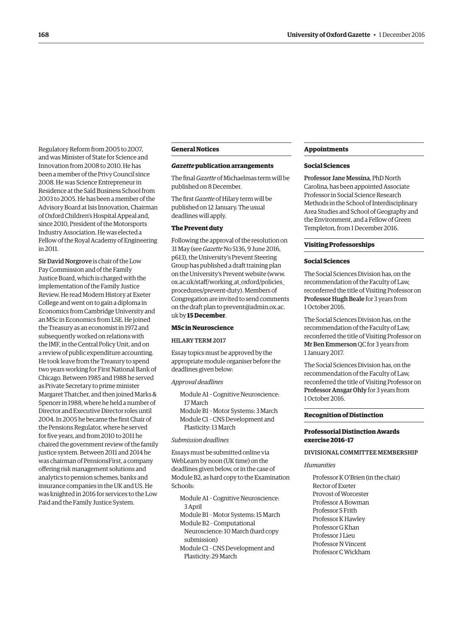Regulatory Reform from 2005 to 2007, and was Minister of State for Science and Innovation from 2008 to 2010. He has been a member of the Privy Council since 2008. He was Science Entrepreneur in Residence at the Saïd Business School from 2003 to 2005. He has been a member of the Advisory Board at Isis Innovation, Chairman of Oxford Children's Hospital Appeal and, since 2010, President of the Motorsports Industry Association. He was elected a Fellow of the Royal Academy of Engineering in 2011.

Sir David Norgrove is chair of the Low Pay Commission and of the Family Justice Board, which is charged with the implementation of the Family Justice Review. He read Modern History at Exeter College and went on to gain a diploma in Economics from Cambridge University and an MSc in Economics from LSE. He joined the Treasury as an economist in 1972 and subsequently worked on relations with the IMF, in the Central Policy Unit, and on a review of public expenditure accounting. He took leave from the Treasury to spend two years working for First National Bank of Chicago. Between 1985 and 1988 he served as Private Secretary to prime minister Margaret Thatcher, and then joined Marks & Spencer in 1988, where he held a number of Director and Executive Director roles until 2004. In 2005 he became the first Chair of the Pensions Regulator, where he served for five years, and from 2010 to 2011 he chaired the government review of the family justice system. Between 2011 and 2014 he was chairman of PensionsFirst, a company offering risk management solutions and analytics to pension schemes, banks and insurance companies in the UK and US. He was knighted in 2016 for services to the Low Paid and the Family Justice System.

#### **General Notices**

#### *Gazette* **publication arrangements**

The final *Gazette* of Michaelmas term will be published on 8 December.

The first *Gazette* of Hilary term will be published on 12 January. The usual deadlines will apply.

#### **The Prevent duty**

Following the approval of the resolution on 31 May (see *Gazette* [No 5136, 9 June 2016,](http://www.ox.ac.uk/gazette/2015-2016/9june2016-no5136/councilandmaincommittees/#234267)  p613), the University's Prevent Steering Group has published a draft training plan on the University's Prevent website [\(www.](http://www.ox.ac.uk/staff/working_at_oxford/policies_procedures/prevent-duty) [ox.ac.uk/staff/working\\_at\\_oxford/policies\\_](http://www.ox.ac.uk/staff/working_at_oxford/policies_procedures/prevent-duty) [procedures/prevent-duty\). M](http://www.ox.ac.uk/staff/working_at_oxford/policies_procedures/prevent-duty)embers of Congregation are invited to send comments on the draft plan to [prevent@admin.ox.ac.](mailto:prevent@admin.ox.ac) uk by **15 December**.

#### **MSc in Neuroscience**

#### HILARY TERM 2017

Essay topics must be approved by the appropriate module organiser before the deadlines given below:

#### *Approval deadlines*

Module A1 – Cognitive Neuroscience: 17 March Module B1 – Motor Systems: 3 March Module C1 – CNS Development and Plasticity: 13 March

#### *Submission deadlines*

Essays must be submitted online via WebLearn by noon (UK time) on the deadlines given below, or in the case of Module B2, as hard copy to the Examination Schools:

Module A1 – Cognitive Neuroscience: 3 April

Module B1 – Motor Systems: 15 March Module B2 – Computational Neuroscience: 10 March (hard copy submission)

Module C1 – CNS Development and Plasticity: 29 March

#### **Appointments**

#### **Social Sciences**

Professor Jane Messina, PhD North Carolina, has been appointed Associate Professor in Social Science Research Methods in the School of Interdisciplinary Area Studies and School of Geography and the Environment, and a Fellow of Green Templeton, from 1 December 2016.

#### **Visiting Professorships**

#### **Social Sciences**

The Social Sciences Division has, on the recommendation of the Faculty of Law, reconferred the title of Visiting Professor on Professor Hugh Beale for 3 years from 1 October 2016.

The Social Sciences Division has, on the recommendation of the Faculty of Law, reconferred the title of Visiting Professor on Mr Ben Emmerson QC for 3 years from 1 January 2017.

The Social Sciences Division has, on the recommendation of the Faculty of Law, reconferred the title of Visiting Professor on Professor Ansgar Ohly for 3 years from 1 October 2016.

#### **Recognition of Distinction**

#### **Professorial Distinction Awards exercise 2016–17**

#### DIVISIONAL COMMITTEE MEMBERSHIP

#### *Humanities*

Professor K O'Brien (in the chair) Rector of Exeter Provost of Worcester Professor A Bowman Professor S Frith Professor K Hawley Professor G Khan Professor II jeu Professor N Vincent Professor C Wickham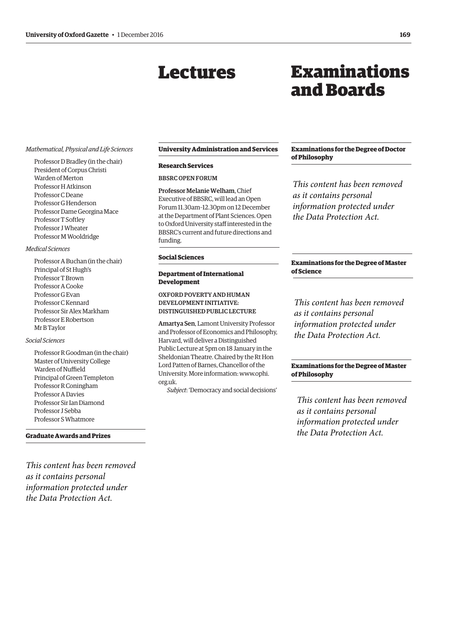## Lectures

## Examinations and Boards

#### <span id="page-6-0"></span>*Mathematical, Physical and Life Sciences*

Professor D Bradley (in the chair) President of Corpus Christi Warden of Merton Professor H Atkinson Professor C Deane Professor G Henderson Professor Dame Georgina Mace Professor T Softley Professor J Wheater Professor M Wooldridge

#### *Medical Sciences*

Professor A Buchan (in the chair) Principal of St Hugh's Professor T Brown Professor A Cooke Professor G Evan Professor C Kennard Professor Sir Alex Markham Professor E Robertson Mr B Taylor

#### *Social Sciences*

Professor R Goodman (in the chair) Master of University College Warden of Nuffield Principal of Green Templeton Professor R Coningham Professor A Davies Professor Sir Ian Diamond Professor J Sebba Professor S Whatmore

**Graduate Awards and Prizes**

*This content has been removed as it contains personal information protected under the Data Protection Act.*

#### **University Administration and Services**

#### **Research Services**

#### BBSRC OPEN FORUM

Professor Melanie Welham, Chief Executive of BBSRC, will lead an Open Forum 11.30am–12.30pm on 12 December at the Department of Plant Sciences. Open to Oxford University staff interested in the BBSRC's current and future directions and funding.

#### **Social Sciences**

#### **Department of International Development**

OXFORD POVERTY AND HUMAN DEVELOPMENT INITIATIVE: DISTINGUISHED PUBLIC LECTURE

Amartya Sen, Lamont University Professor and Professor of Economics and Philosophy, Harvard, will deliver a Distinguished Public Lecture at 5pm on 18 January in the Sheldonian Theatre. Chaired by the Rt Hon Lord Patten of Barnes, Chancellor of the [University. More information: www.ophi.](www.ophi.org.uk) org.uk.

*Subject*: 'Democracy and social decisions'

#### **Examinations for the Degree of Doctor of Philosophy**

*This content has been removed as it contains personal information protected under the Data Protection Act.*

#### **Examinations for the Degree of Master of Science**

*This content has been removed as it contains personal information protected under the Data Protection Act.*

#### **Examinations for the Degree of Master of Philosophy**

*This content has been removed as it contains personal information protected under the Data Protection Act.*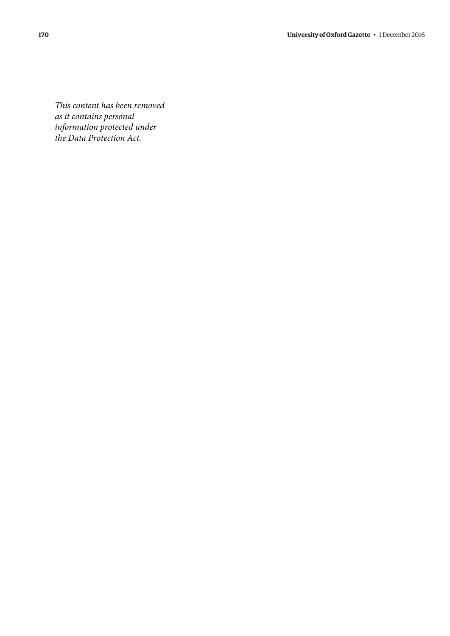*This content has been removed as it contains personal information protected under the Data Protection Act.*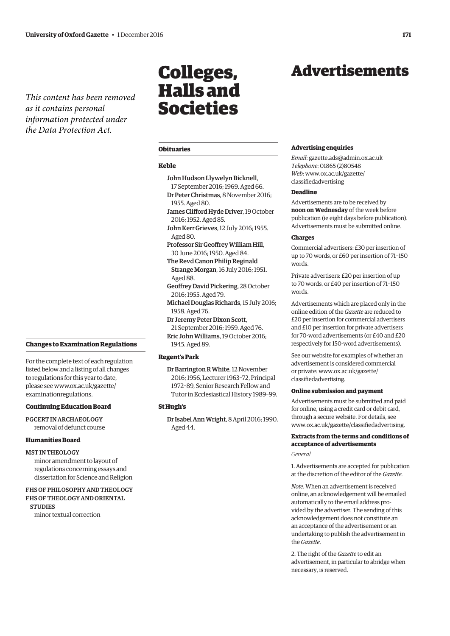<span id="page-8-0"></span>*This content has been removed as it contains personal information protected under the Data Protection Act.*

#### **[Changes to Examination Regulations](#page-2-0)**

For the complete text of each regulation listed below and a listing of all changes to regulations for this year to date, [please see www.ox.ac.uk/gazette/](www.ox.ac.uk/gazette/examinationregulations) examinationregulations.

#### **Continuing Education Board**

PGCERT IN ARCHAEOLOGY removal of defunct course

#### **Humanities Board**

#### MST IN THEOLOGY

minor amendment to layout of regulations concerning essays and dissertation for Science and Religion

#### FHS OF PHILOSOPHY AND THEOLOGY FHS OF THEOLOGY AND ORIENTAL **STUDIES**

minor textual correction

## Colleges, Halls and Societies

#### **Obituaries**

#### **Keble**

- John Hudson Llywelyn Bicknell,
- 17 September 2016; 1969. Aged 66. Dr Peter Christmas, 8 November 2016; 1955. Aged 80.
- James Clifford Hyde Driver, 19 October 2016; 1952. Aged 85.
- John Kerr Grieves, 12 July 2016; 1955. Aged 80.
- Professor Sir Geoffrey William Hill, 30 June 2016; 1950. Aged 84.
- The Revd Canon Philip Reginald Strange Morgan, 16 July 2016; 1951. Aged 88.
- Geoffrey David Pickering, 28 October 2016; 1955. Aged 79.
- Michael Douglas Richards, 15 July 2016; 1958. Aged 76.
- Dr Jeremy Peter Dixon Scott, 21 September 2016; 1959. Aged 76.
- Eric John Williams, 19 October 2016; 1945. Aged 89.

#### **Regent's Park**

Dr Barrington R White, 12 November 2016; 1956, Lecturer 1963–72, Principal 1972–89, Senior Research Fellow and Tutor in Ecclesiastical History 1989–99.

#### **St Hugh's**

Dr Isabel Ann Wright, 8 April 2016; 1990. Aged 44.

## Advertisements

#### **Advertising enquiries**

*Email*: [gazette.ads@admin.ox.ac.uk](mailto:gazette.ads@admin.ox.ac.uk) *Telephone*: 01865 (2)80548 *Web*[: www.ox.ac.uk/gazette/](www.ox.ac.uk/gazette/classifiedadvertising) classifiedadvertising

#### **Deadline**

Advertisements are to be received by **noon on Wednesday** of the week before publication (ie eight days before publication). Advertisements must be submitted online.

#### **Charges**

Commercial advertisers: £30 per insertion of up to 70 words, or £60 per insertion of 71–150 words.

Private advertisers: £20 per insertion of up to 70 words, or £40 per insertion of 71–150 words.

Advertisements which are placed only in the online edition of the *Gazette* are reduced to £20 per insertion for commercial advertisers and £10 per insertion for private advertisers for 70-word advertisements (or £40 and £20 respectively for 150-word advertisements).

See our website for examples of whether an advertisement is considered commercial [or private: www.ox.ac.uk/gazette/](www.ox.ac.uk/gazette/classifiedadvertising) classifiedadvertising.

#### **Online submission and payment**

Advertisements must be submitted and paid for online, using a credit card or debit card, through a secure website. For details, see [www.ox.ac.uk/gazette/classifiedadvertising.](http://www.ox.ac.uk/gazette/classifiedadvertising)

#### **Extracts from the terms and conditions of acceptance of advertisements**

*General*

1. Advertisements are accepted for publication at the discretion of the editor of the *Gazette*.

*Note*. When an advertisement is received online, an acknowledgement will be emailed automatically to the email address provided by the advertiser. The sending of this acknowledgement does not constitute an an acceptance of the advertisement or an undertaking to publish the advertisement in the *Gazette*.

2. The right of the *Gazette* to edit an advertisement, in particular to abridge when necessary, is reserved.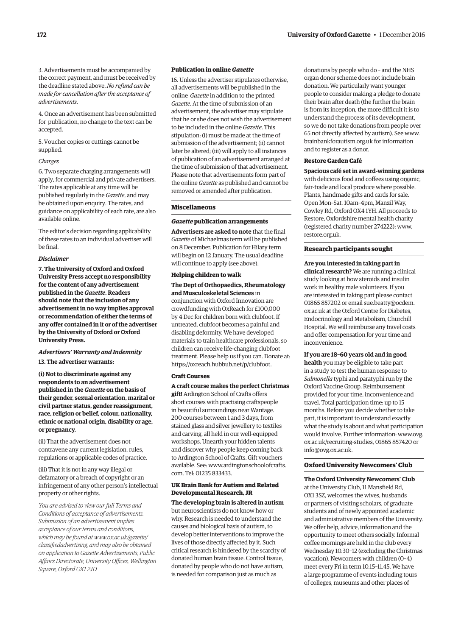3. Advertisements must be accompanied by the correct payment, and must be received by the deadline stated above. *No refund can be made for cancellation after the acceptance of advertisements*.

4. Once an advertisement has been submitted for publication, no change to the text can be accepted.

5. Voucher copies or cuttings cannot be supplied.

#### *Charges*

6. Two separate charging arrangements will apply, for commercial and private advertisers. The rates applicable at any time will be published regularly in the *Gazette*, and may be obtained upon enquiry. The rates, and guidance on applicability of each rate, are also available online.

The editor's decision regarding applicability of these rates to an individual advertiser will be final.

#### *Disclaimer*

**7. The University of Oxford and Oxford University Press accept no responsibility for the content of any advertisement published in the** *Gazette***. Readers should note that the inclusion of any advertisement in no way implies approval or recommendation of either the terms of any offer contained in it or of the advertiser by the University of Oxford or Oxford University Press.**

#### *Advertisers' Warranty and Indemnity*

**13. The advertiser warrants:**

**(i) Not to discriminate against any respondents to an advertisement published in the** *Gazette* **on the basis of their gender, sexual orientation, marital or civil partner status, gender reassignment, race, religion or belief, colour, nationality, ethnic or national origin, disability or age, or pregnancy.**

(ii) That the advertisement does not contravene any current legislation, rules, regulations or applicable codes of practice.

(iii) That it is not in any way illegal or defamatory or a breach of copyright or an infringement of any other person's intellectual property or other rights.

*You are advised to view our full Terms and Conditions of acceptance of advertisements. Submission of an advertisement implies acceptance of our terms and conditions, which may be found at www.ox.ac.uk/gazette/ [classifiedadvertising, and may also be obtained](www.ox.ac.uk/gazette/classifiedadvertising)  on application to Gazette Advertisements, Public Affairs Directorate, University Offices, Wellington Square, Oxford OX1 2JD.*

#### **Publication in online** *Gazette*

16. Unless the advertiser stipulates otherwise, all advertisements will be published in the online *Gazette* in addition to the printed *Gazette*. At the time of submission of an advertisement, the advertiser may stipulate that he or she does not wish the advertisement to be included in the online *Gazette*. This stipulation: (i) must be made at the time of submission of the advertisement; (ii) cannot later be altered; (iii) will apply to all instances of publication of an advertisement arranged at the time of submission of that advertisement. Please note that advertisements form part of the online *Gazette* as published and cannot be removed or amended after publication.

#### **Miscellaneous**

#### *Gazette* **publication arrangements**

**Advertisers are asked to note** that the final *Gazette* of Michaelmas term will be published on 8 December. Publication for Hilary term will begin on 12 January. The usual deadline will continue to apply (see above).

#### **Helping children to walk**

#### **The Dept of Orthopaedics, Rheumatology and Musculoskeletal Sciences** in

conjunction with Oxford Innovation are crowdfunding with OxReach for £100,000 by 4 Dec for children born with clubfoot. If untreated, clubfoot becomes a painful and disabling deformity. We have developed materials to train healthcare professionals, so children can receive life-changing clubfoot treatment. Please help us if you can. Donate at: [https://oxreach.hubbub.net/p/clubfoot.](https://oxreach.hubbub.net/p/clubfoot)

#### **Craft Courses**

**A craft course makes the perfect Christmas** 

**gift!** Ardington School of Crafts offers short courses with practising craftspeople in beautiful surroundings near Wantage. 200 courses between 1 and 3 days, from stained glass and silver jewellery to textiles and carving, all held in our well-equipped workshops. Unearth your hidden talents and discover why people keep coming back to Ardington School of Crafts. Gift vouchers [available. See: www.ardingtonschoolofcrafts.](www.ardingtonschoolofcrafts.com) com. Tel: 01235 833433.

#### **UK Brain Bank for Autism and Related Developmental Research, JR**

**The developing brain is altered in autism** but neuroscientists do not know how or why. Research is needed to understand the causes and biological basis of autism, to develop better interventions to improve the lives of those directly affected by it. Such critical research is hindered by the scarcity of donated human brain tissue. Control tissue, donated by people who do not have autism, is needed for comparison just as much as

donations by people who do – and the NHS organ donor scheme does not include brain donation. We particularly want younger people to consider making a pledge to donate their brain after death (the further the brain is from its inception, the more difficult it is to understand the process of its development, so we do not take donations from people over 65 not directly affected by autism). See [www.](http://www.brainbankforautism.org.uk) [brainbankforautism.org.uk fo](http://www.brainbankforautism.org.uk)r information and to register as a donor.

#### **Restore Garden Café**

**Spacious café set in award-winning gardens** with delicious food and coffees using organic, fair-trade and local produce where possible. Plants, handmade gifts and cards for sale. Open Mon–Sat, 10am–4pm, Manzil Way, Cowley Rd, Oxford OX4 1YH. All proceeds to Restore, Oxfordshire mental health charity (registered charity number 274222): [www.](http://www.restore.org.uk) [restore.org.uk.](http://www.restore.org.uk)

#### **Research participants sought**

**Are you interested in taking part in clinical research?** We are running a clinical study looking at how steroids and insulin work in healthy male volunteers. If you are interested in taking part please contact [01865 857202 or email sue.beatty@ocdem.](mailto:sue.beatty@ocdem.ox.ac.uk) ox.ac.uk at the Oxford Centre for Diabetes, Endocrinology and Metabolism, Churchill Hospital. We will reimburse any travel costs and offer compensation for your time and inconvenience.

**If you are 18–60 years old and in good health** you may be eligible to take part in a study to test the human response to

*Salmonella* typhi and paratyphi run by the Oxford Vaccine Group. Reimbursement provided for your time, inconvenience and travel. Total participation time: up to 15 months. Before you decide whether to take part, it is important to understand exactly what the study is about and what participation [would involve. Further information: www.ovg.](www.ovg.ox.ac.uk/recruiting) ox.ac.uk/recruiting-studies, 01865 857420 or [info@ovg.ox.ac.uk.](mailto:info@ovg.ox.ac.uk)

#### **Oxford University Newcomers' Club**

**The Oxford University Newcomers' Club** at the University Club, 11 Mansfield Rd, OX1 3SZ, welcomes the wives, husbands or partners of visiting scholars, of graduate students and of newly appointed academic and administrative members of the University. We offer help, advice, information and the opportunity to meet others socially. Informal coffee mornings are held in the club every Wednesday 10.30–12 (excluding the Christmas vacation). Newcomers with children (0–4) meet every Fri in term 10.15–11.45. We have a large programme of events including tours of colleges, museums and other places of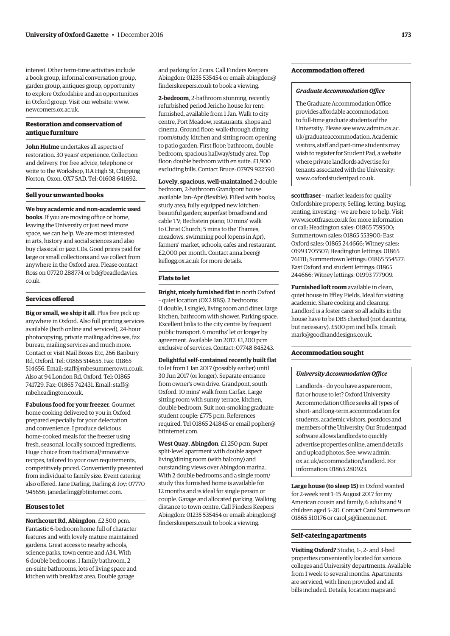interest. Other term-time activities include a book group, informal conversation group, garden group, antiques group, opportunity to explore Oxfordshire and an opportunities in Oxford group. Visit our website: [www.](http://www.newcomers.ox.ac.uk) [newcomers.ox.ac.uk.](http://www.newcomers.ox.ac.uk)

#### **Restoration and conservation of antique furniture**

**John Hulme** undertakes all aspects of restoration. 30 years' experience. Collection and delivery. For free advice, telephone or write to the Workshop, 11A High St, Chipping Norton, Oxon, OX7 5AD. Tel: 01608 641692.

#### **Sell your unwanted books**

**We buy academic and non-academic used books**. If you are moving office or home, leaving the University or just need more space, we can help. We are most interested in arts, history and social sciences and also buy classical or jazz CDs. Good prices paid for large or small collections and we collect from anywhere in the Oxford area. Please contact [Ross on 07720 288774 or bd@beadledavies.](mailto:bd@beadledavies.co.uk) co.uk.

#### **Services offered**

**Big or small, we ship it all**. Plus free pick up anywhere in Oxford. Also full printing services available (both online and serviced), 24-hour photocopying, private mailing addresses, fax bureau, mailing services and much more. Contact or visit Mail Boxes Etc, 266 Banbury Rd, Oxford. Tel: 01865 514655. Fax: 01865 514656. Email: [staff@mbesummertown.co.uk.](mailto:staff@mbesummertown.co.uk)  Also at 94 London Rd, Oxford. Tel: 01865 [741729. Fax: 01865 742431. Email: staff@](mailto:staff@mbeheadington.co.uk) mbeheadington.co.uk.

**Fabulous food for your freezer**. Gourmet home cooking delivered to you in Oxford prepared especially for your delectation and convenience. I produce delicious home-cooked meals for the freezer using fresh, seasonal, locally sourced ingredients. Huge choice from traditional/innovative recipes, tailored to your own requirements, competitively priced. Conveniently presented from individual to family size. Event catering also offered. Jane Darling, Darling & Joy: 07770 945656, [janedarling@btinternet.com.](mailto:janedarling@btinternet.com)

#### **Houses to let**

**Northcourt Rd, Abingdon**, £2,500 pcm. Fantastic 6-bedroom home full of character features and with lovely mature maintained gardens. Great access to nearby schools, science parks, town centre and A34. With 6 double bedrooms, 1 family bathroom, 2 en-suite bathrooms, lots of living space and kitchen with breakfast area. Double garage

and parking for 2 cars. Call Finders Keepers [Abingdon: 01235 535454 or email: abingdon@](mailto:abingdon@finderskeepers.co.uk) finderskeepers.co.uk to book a viewing.

**2-bedroom**, 2-bathroom stunning, recently refurbished period Jericho house for rent: furnished, available from 1 Jan. Walk to city centre, Port Meadow, restaurants, shops and cinema. Ground floor: walk-through dining room/study, kitchen and sitting room opening to patio garden. First floor: bathroom, double bedroom, spacious hallway/study area. Top floor: double bedroom with en suite. £1,900 excluding bills. Contact Bruce: 07979 922590.

**Lovely, spacious, well-maintained** 2-double bedroom, 2-bathroom Grandpont house available Jan–Apr (flexible). Filled with books; study area; fully equipped new kitchen; beautiful garden; superfast broadband and cable TV; Bechstein piano; 10 mins' walk to Christ Church; 5 mins to the Thames, meadows, swimming pool (opens in Apr), farmers' market, schools, cafes and restaurant. [£2,000 per month. Contact anna.beer@](mailto:anna.beer@kellogg.ox.ac.uk) kellogg.ox.ac.uk for more details.

#### **Flats to let**

**Bright, nicely furnished flat** in north Oxford – quiet location (OX2 8BS). 2 bedrooms (1 double, 1 single), living room and diner, large kitchen, bathroom with shower. Parking space. Excellent links to the city centre by frequent public transport. 6 months' let or longer by agreement. Available Jan 2017. £1,200 pcm exclusive of services. Contact: 07748 845243.

#### **Delightful self-contained recently built flat**

to let from 1 Jan 2017 (possibly earlier) until 30 Jun 2017 (or longer). Separate entrance from owner's own drive. Grandpont, south Oxford. 10 mins' walk from Carfax. Large sitting room with sunny terrace, kitchen, double bedroom. Suit non-smoking graduate student couple: £775 pcm. References [required. Tel 01865 241845 or email popher@](mailto:popher@btinternet.com) btinternet.com.

**West Quay, Abingdon**, £1,250 pcm. Super split-level apartment with double aspect living/dining room (with balcony) and outstanding views over Abingdon marina. With 2 double bedrooms and a single room/ study this furnished home is available for 12 months and is ideal for single person or couple. Garage and allocated parking. Walking distance to town centre. Call Finders Keepers [Abingdon: 01235 535454 or email: abingdon@](mailto:abingdon@finderskeepers.co.uk) finderskeepers.co.uk to book a viewing.

#### **Accommodation offered**

#### *Graduate Accommodation Office*

The Graduate Accommodation Office provides affordable accommodation to full-time graduate students of the [University. Please see www.admin.ox.ac.](www.admin.ox.ac.uk/graduateaccommodation) uk/graduateaccommodation. Academic visitors, staff and part-time students may wish to register for Student Pad, a website where private landlords advertise for tenants associated with the University: [www.oxfordstudentpad.co.uk.](http://www.oxfordstudentpad.co.uk)

**scottfraser** – market leaders for quality Oxfordshire property. Selling, letting, buying, renting, investing – we are here to help. Visit [www.scottfraser.co.uk for](http://www.scottfraser.co.uk) more information or call: Headington sales: 01865 759500; Summertown sales: 01865 553900; East Oxford sales: 01865 244666; Witney sales: 01993 705507; Headington lettings: 01865 761111; Summertown lettings: 01865 554577; East Oxford and student lettings: 01865 244666; Witney lettings: 01993 777909.

**Furnished loft room** available in clean, quiet house in Iffley Fields. Ideal for visiting academic. Share cooking and cleaning. Landlord is a foster carer so all adults in the house have to be DBS checked (not daunting, but necessary). £500 pm incl bills. Email: [mark@goodhanddesigns.co.uk.](mailto:mark@goodhanddesigns.co.uk)

### **Accommodation sought**

#### *University Accommodation Office*

Landlords – do you have a spare room, flat or house to let? Oxford University Accommodation Office seeks all types of short- and long-term accommodation for students, academic visitors, postdocs and members of the University. Our Studentpad software allows landlords to quickly advertise properties online, amend details and upload photos. See: www.admin. [ox.ac.uk/accommodation/landlord. For](www.admin.ox.ac.uk/accommodation/landlord)  information: 01865 280923.

**Large house (to sleep 15)** in Oxford wanted for 2-week rent 1–15 August 2017 for my American cousin and family, 6 adults and 9 children aged 5–20. Contact Carol Summers on 01865 510176 or carol s@lineone.net.

#### **Self-catering apartments**

**Visiting Oxford?** Studio, 1-, 2- and 3-bed properties conveniently located for various colleges and University departments. Available from 1 week to several months. Apartments are serviced, with linen provided and all bills included. Details, location maps and